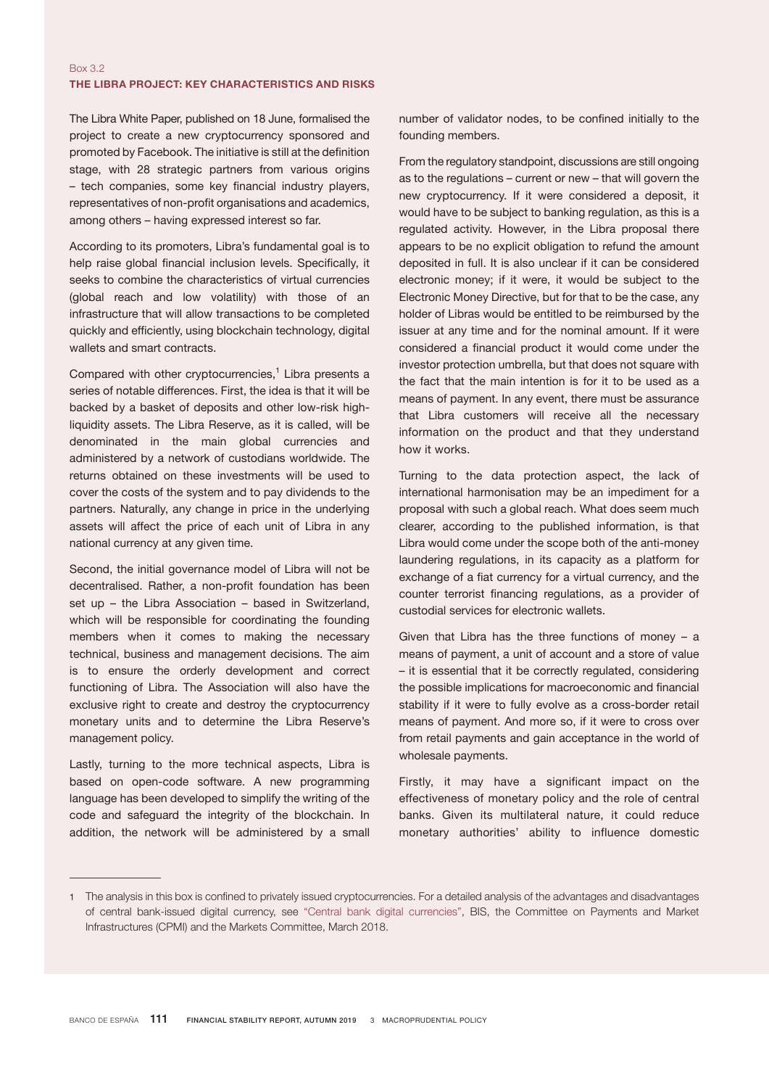The Libra White Paper, published on 18 June, formalised the project to create a new cryptocurrency sponsored and promoted by Facebook. The initiative is still at the definition stage, with 28 strategic partners from various origins – tech companies, some key financial industry players, representatives of non-profit organisations and academics, among others – having expressed interest so far.

According to its promoters, Libra's fundamental goal is to help raise global financial inclusion levels. Specifically, it seeks to combine the characteristics of virtual currencies (global reach and low volatility) with those of an infrastructure that will allow transactions to be completed quickly and efficiently, using blockchain technology, digital wallets and smart contracts.

Compared with other cryptocurrencies,<sup>1</sup> Libra presents a series of notable differences. First, the idea is that it will be backed by a basket of deposits and other low-risk highliquidity assets. The Libra Reserve, as it is called, will be denominated in the main global currencies and administered by a network of custodians worldwide. The returns obtained on these investments will be used to cover the costs of the system and to pay dividends to the partners. Naturally, any change in price in the underlying assets will affect the price of each unit of Libra in any national currency at any given time.

Second, the initial governance model of Libra will not be decentralised. Rather, a non-profit foundation has been set up – the Libra Association – based in Switzerland, which will be responsible for coordinating the founding members when it comes to making the necessary technical, business and management decisions. The aim is to ensure the orderly development and correct functioning of Libra. The Association will also have the exclusive right to create and destroy the cryptocurrency monetary units and to determine the Libra Reserve's management policy.

Lastly, turning to the more technical aspects, Libra is based on open-code software. A new programming language has been developed to simplify the writing of the code and safeguard the integrity of the blockchain. In addition, the network will be administered by a small

number of validator nodes, to be confined initially to the founding members.

From the regulatory standpoint, discussions are still ongoing as to the regulations – current or new – that will govern the new cryptocurrency. If it were considered a deposit, it would have to be subject to banking regulation, as this is a regulated activity. However, in the Libra proposal there appears to be no explicit obligation to refund the amount deposited in full. It is also unclear if it can be considered electronic money; if it were, it would be subject to the Electronic Money Directive, but for that to be the case, any holder of Libras would be entitled to be reimbursed by the issuer at any time and for the nominal amount. If it were considered a financial product it would come under the investor protection umbrella, but that does not square with the fact that the main intention is for it to be used as a means of payment. In any event, there must be assurance that Libra customers will receive all the necessary information on the product and that they understand how it works.

Turning to the data protection aspect, the lack of international harmonisation may be an impediment for a proposal with such a global reach. What does seem much clearer, according to the published information, is that Libra would come under the scope both of the anti-money laundering regulations, in its capacity as a platform for exchange of a fiat currency for a virtual currency, and the counter terrorist financing regulations, as a provider of custodial services for electronic wallets.

Given that Libra has the three functions of money  $-$  a means of payment, a unit of account and a store of value – it is essential that it be correctly regulated, considering the possible implications for macroeconomic and financial stability if it were to fully evolve as a cross-border retail means of payment. And more so, if it were to cross over from retail payments and gain acceptance in the world of wholesale payments.

Firstly, it may have a significant impact on the effectiveness of monetary policy and the role of central banks. Given its multilateral nature, it could reduce monetary authorities' ability to influence domestic

<sup>1</sup> The analysis in this box is confined to privately issued cryptocurrencies. For a detailed analysis of the advantages and disadvantages of central bank-issued digital currency, see ["Central bank digital currencies](https://www.bis.org/cpmi/publ/d174.pdf)", BIS, the Committee on Payments and Market Infrastructures (CPMI) and the Markets Committee, March 2018.